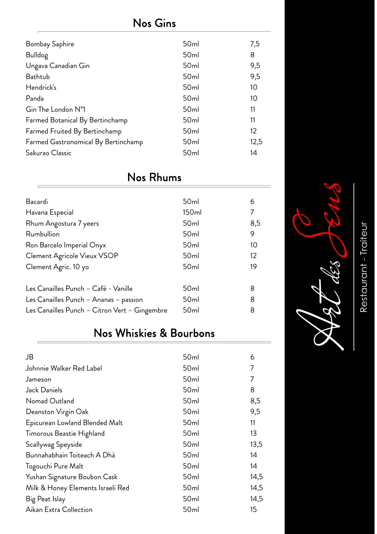#### Nos Gins

| <b>Bombay Saphire</b>               | 50 <sub>ml</sub> | 7,5               |
|-------------------------------------|------------------|-------------------|
| <b>Bulldog</b>                      | 50 <sub>ml</sub> | 8                 |
| Ungava Canadian Gin                 | 50 <sub>ml</sub> | 9,5               |
| Bathtub                             | 50 <sub>ml</sub> | 9,5               |
| Hendrick's                          | 50 <sub>ml</sub> | 10                |
| Panda                               | 50 <sub>ml</sub> | 10                |
| Gin The London N°1                  | 50 <sub>ml</sub> | 11                |
| Farmed Botanical By Bertinchamp     | 50 <sub>ml</sub> | 11                |
| Farmed Fruited By Bertinchamp       | 50 <sub>ml</sub> | $12 \overline{ }$ |
| Farmed Gastronomical By Bertinchamp | 50 <sub>ml</sub> | 12,5              |
| Sakurao Classic                     | 50 <sub>ml</sub> | 14                |
|                                     |                  |                   |

#### Nos Rhums

| Bacardi                                       | 50 <sub>ml</sub> | 6   |
|-----------------------------------------------|------------------|-----|
| Havana Especial                               | 150ml            | 7   |
| Rhum Angostura 7 yeers                        | 50 <sub>ml</sub> | 8,5 |
| Rumbullion                                    | 50 <sub>ml</sub> | 9   |
| Ron Barcelo Imperial Onyx                     | 50 <sub>ml</sub> | 10  |
| Clement Agricole Vieux VSOP                   | 50 <sub>ml</sub> | 12  |
| Clement Agric. 10 yo                          | 50 <sub>ml</sub> | 19  |
|                                               |                  |     |
| Les Canailles Punch - Café - Vanille          | 50 <sub>ml</sub> | 8   |
| Les Canailles Punch - Ananas - passion        | 50 <sub>ml</sub> | 8   |
| Les Canailles Punch - Citron Vert - Gingembre | 50 <sub>ml</sub> | 8   |

#### Nos Whiskies & Bourbons

| 50 <sub>ml</sub> | 6    |
|------------------|------|
| 50 <sub>ml</sub> | 7    |
| 50 <sub>ml</sub> | 7    |
| 50 <sub>ml</sub> | 8    |
| 50 <sub>ml</sub> | 8,5  |
| 50 <sub>ml</sub> | 9,5  |
| 50 <sub>ml</sub> | 11   |
| 50 <sub>ml</sub> | 13   |
| 50 <sub>ml</sub> | 13,5 |
| 50 <sub>ml</sub> | 14   |
| 50 <sub>ml</sub> | 14   |
| 50 <sub>ml</sub> | 14,5 |
| 50 <sub>ml</sub> | 14,5 |
| 50 <sub>ml</sub> | 14,5 |
| 50 <sub>ml</sub> | 15   |
|                  |      |